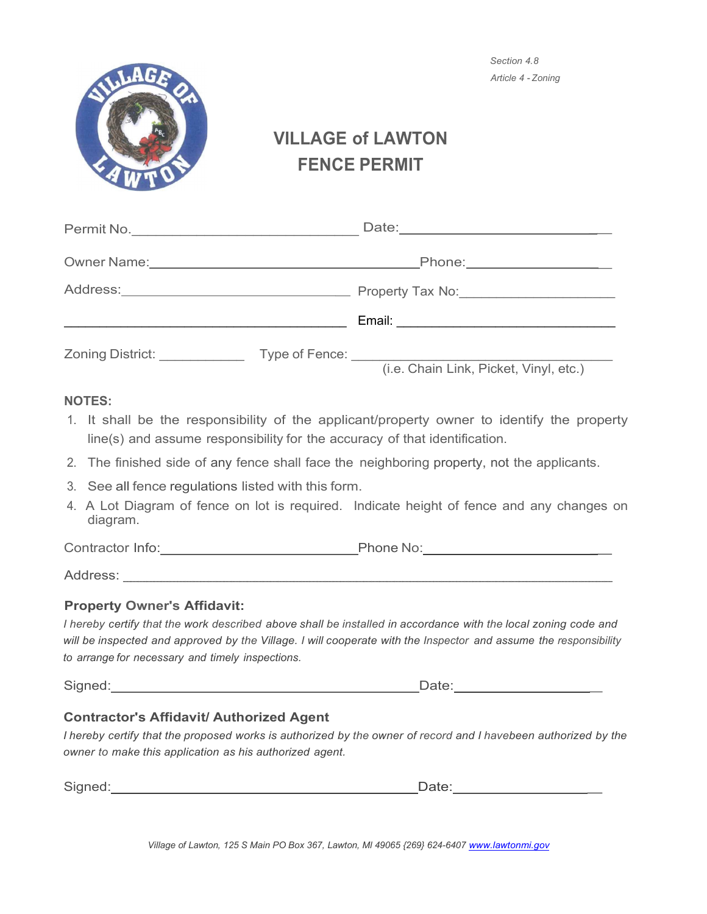

*Section 4.8 Article 4* - *Zoning*

# **VILLAGE of LAWTON FENCE PERMIT**

| Permit No. <u>_________________________</u> |                                                                                                               |                                        |
|---------------------------------------------|---------------------------------------------------------------------------------------------------------------|----------------------------------------|
|                                             | Phone: 2000 2000 2010 2010 2020 2020 2021 2022 2022 2021 2022 2021 2022 2022 2022 2022 2022 2022 2023 2022 20 |                                        |
| Address: _________________________________  | Property Tax No:                                                                                              |                                        |
|                                             |                                                                                                               | Email: __________________              |
| <b>Zoning District:</b>                     |                                                                                                               | (i.e. Chain Link, Picket, Vinyl, etc.) |

## **NOTES:**

- 1. It shall be the responsibility of the applicant/property owner to identify the property line(s) and assume responsibility for the accuracy of that identification.
- 2. The finished side of any fence shall face the neighboring property, not the applicants.
- 3. See all fence regulations listed with this form.
- 4. A Lot Diagram of fence on lot is required. Indicate height of fence and any changes on diagram.

Contractor Info: example and the Phone No: example Phone No:

Address: \_\_\_\_\_\_\_\_\_\_\_\_\_\_\_\_\_\_\_\_\_\_\_\_\_\_\_\_\_\_\_\_\_\_\_\_\_\_\_\_\_\_\_\_\_\_\_\_\_\_\_\_\_\_\_\_\_\_\_\_\_\_\_

## **Property Owner's Affidavit:**

I hereby certify that the work described above shall be installed in accordance with the local zoning code and will be inspected and approved by the Village. I will cooperate with the Inspector and assume the responsibility *to arrange for necessary and timely inspections.*

Signed: **Date:**  $\Box$  Date:  $\Box$  Date:  $\Box$ 

## **Contractor's Affidavit/ Authorized Agent**

I hereby certify that the proposed works is authorized by the owner of record and I havebeen authorized by the *owner to make this application as his authorized agent.*

| ~<br>÷ |  |
|--------|--|
|        |  |

*Village of Lawton, 125 S Main PO Box 367, Lawton, Ml 49065 {269} 624-6407 [www.lawtonmi.gov](http://www.lawtonmi.gov/)*